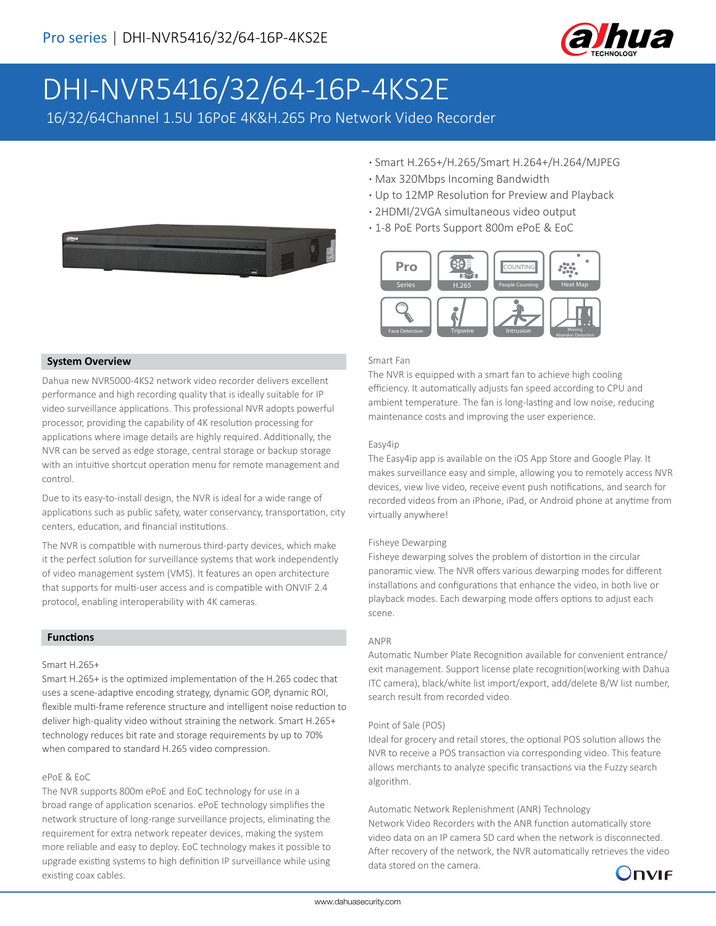

# DHI-NVR5416/32/64-16P-4KS2E

16/32/64Channel 1.5U 16PoE 4K&H.265 Pro Network Video Recorder



- **·** Smart H.265+/H.265/Smart H.264+/H.264/MJPEG
- **·** Max 320Mbps Incoming Bandwidth
- **·** Up to 12MP Resolution for Preview and Playback
- **·** 2HDMI/2VGA simultaneous video output
- **·** 1-8 PoE Ports Support 800m ePoE & EoC



#### Smart Fan

The NVR is equipped with a smart fan to achieve high cooling efficiency. It automatically adjusts fan speed according to CPU and ambient temperature. The fan is long-lasting and low noise, reducing maintenance costs and improving the user experience.

#### Easy4ip

The Easy4ip app is available on the iOS App Store and Google Play. It makes surveillance easy and simple, allowing you to remotely access NVR devices, view live video, receive event push notifications, and search for recorded videos from an iPhone, iPad, or Android phone at anytime from virtually anywhere!

#### Fisheye Dewarping

Fisheye dewarping solves the problem of distortion in the circular panoramic view. The NVR offers various dewarping modes for different installations and configurations that enhance the video, in both live or playback modes. Each dewarping mode offers options to adjust each scene.

#### ANPR

Automatic Number Plate Recognition available for convenient entrance/ exit management. Support license plate recognition(working with Dahua ITC camera), black/white list import/export, add/delete B/W list number, search result from recorded video.

#### Point of Sale (POS)

Ideal for grocery and retail stores, the optional POS solution allows the NVR to receive a POS transaction via corresponding video. This feature allows merchants to analyze specific transactions via the Fuzzy search algorithm.

Automatic Network Replenishment (ANR) Technology Network Video Recorders with the ANR function automatically store video data on an IP camera SD card when the network is disconnected. After recovery of the network, the NVR automatically retrieves the video data stored on the camera.



# **System Overview**

Dahua new NVR5000-4KS2 network video recorder delivers excellent performance and high recording quality that is ideally suitable for IP video surveillance applications. This professional NVR adopts powerful processor, providing the capability of 4K resolution processing for applications where image details are highly required. Additionally, the NVR can be served as edge storage, central storage or backup storage with an intuitive shortcut operation menu for remote management and control.

Due to its easy-to-install design, the NVR is ideal for a wide range of applications such as public safety, water conservancy, transportation, city centers, education, and financial institutions.

The NVR is compatible with numerous third-party devices, which make it the perfect solution for surveillance systems that work independently of video management system (VMS). It features an open architecture that supports for multi-user access and is compatible with ONVIF 2.4 protocol, enabling interoperability with 4K cameras.

# **Functions**

#### Smart H.265+

Smart H.265+ is the optimized implementation of the H.265 codec that uses a scene-adaptive encoding strategy, dynamic GOP, dynamic ROI, flexible multi-frame reference structure and intelligent noise reduction to deliver high-quality video without straining the network. Smart H.265+ technology reduces bit rate and storage requirements by up to 70% when compared to standard H.265 video compression.

### ePoE & EoC

The NVR supports 800m ePoE and EoC technology for use in a broad range of application scenarios. ePoE technology simplifies the network structure of long-range surveillance projects, eliminating the requirement for extra network repeater devices, making the system more reliable and easy to deploy. EoC technology makes it possible to upgrade existing systems to high definition IP surveillance while using existing coax cables.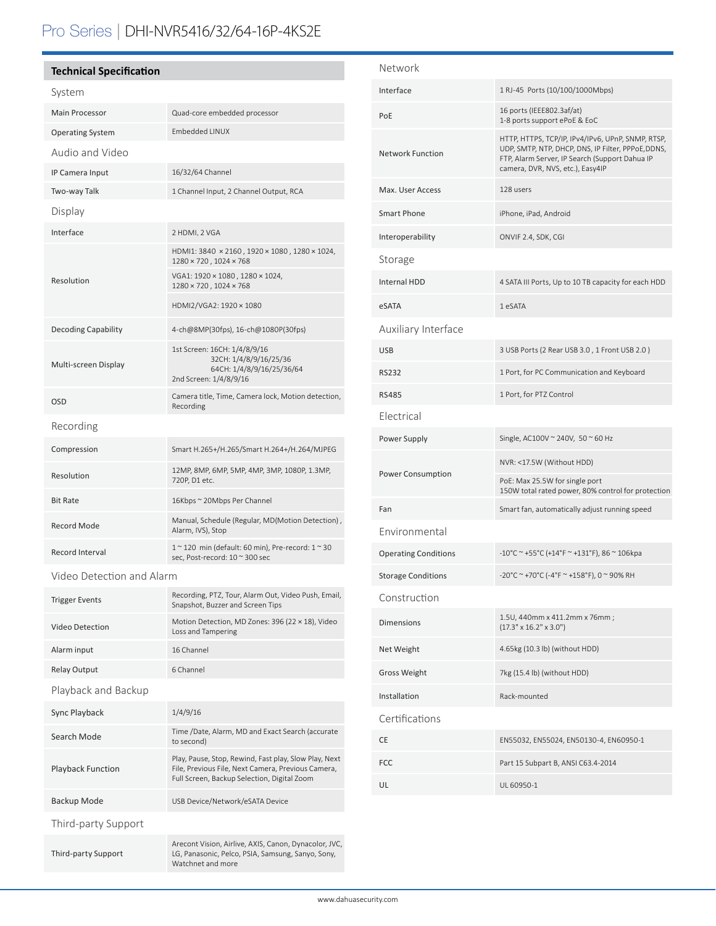# Pro Series | DHI-NVR5416/32/64-16P-4KS2E

# **Technical Specification** System Main Processor Quad-core embedded processor Operating System Embedded LINUX Audio and Video IP Camera Input 16/32/64 Channel Two-way Talk 1 Channel Input, 2 Channel Output, RCA Display Interface 2 HDMI, 2 VGA Resolution HDMI1: 3840 × 2160 , 1920 × 1080 , 1280 × 1024,  $1280\times720$  ,  $1024\times768$ VGA1: 1920 × 1080 , 1280 × 1024, 1280 × 720 , 1024 × 768 HDMI2/VGA2: 1920 × 1080 Decoding Capability 4-ch@8MP(30fps), 16-ch@1080P(30fps) Multi-screen Display 1st Screen: 16CH: 1/4/8/9/16 32CH: 1/4/8/9/16/25/36 64CH: 1/4/8/9/16/25/36/64 2nd Screen: 1/4/8/9/16 OSD Camera title, Time, Camera lock, Motion detection, Recording Recording Compression Smart H.265+/H.265/Smart H.264+/H.264/MJPEG Resolution 12MP, 8MP, 6MP, 5MP, 4MP, 3MP, 1080P, 1.3MP, 1080P, 1.3MP, 1080P, 1.3MP, 1080P, 1.3MP, 1080P, 1.41 720P, D1 etc. Bit Rate 16Kbps ~ 20Mbps Per Channel Record Mode Manual, Schedule (Regular, MD(Motion Detection) , Alarm, IVS), Stop Record Interval  $1 \approx 120 \text{ min (default: } 60 \text{ min)}$ , Pre-record:  $1 \approx 30$ sec, Post-record: 10 ~ 300 sec Video Detection and Alarm Recording, PTZ, Tour, Alarm Out, Video Push, Email,

| <b>INVEST EVENTS</b>     | Snapshot, Buzzer and Screen Tips                                                                                                                           |  |
|--------------------------|------------------------------------------------------------------------------------------------------------------------------------------------------------|--|
| <b>Video Detection</b>   | Motion Detection, MD Zones: 396 (22 × 18), Video<br>Loss and Tampering                                                                                     |  |
| Alarm input              | 16 Channel                                                                                                                                                 |  |
| <b>Relay Output</b>      | 6 Channel                                                                                                                                                  |  |
| Playback and Backup      |                                                                                                                                                            |  |
| Sync Playback            | 1/4/9/16                                                                                                                                                   |  |
| Search Mode              | Time /Date, Alarm, MD and Exact Search (accurate<br>to second)                                                                                             |  |
| <b>Playback Function</b> | Play, Pause, Stop, Rewind, Fast play, Slow Play, Next<br>File, Previous File, Next Camera, Previous Camera,<br>Full Screen, Backup Selection, Digital Zoom |  |
| Backup Mode              | USB Device/Network/eSATA Device                                                                                                                            |  |
| Third-party Support      |                                                                                                                                                            |  |
| Third-party Support      | Arecont Vision, Airlive, AXIS, Canon, Dynacolor, JVC,<br>LG, Panasonic, Pelco, PSIA, Samsung, Sanyo, Sony,<br>Watchnet and more                            |  |

| Network                     |                                                                                                                                                                                               |
|-----------------------------|-----------------------------------------------------------------------------------------------------------------------------------------------------------------------------------------------|
| Interface                   | 1 RJ-45 Ports (10/100/1000Mbps)                                                                                                                                                               |
| PoE                         | 16 ports (IEEE802.3af/at)<br>1-8 ports support ePoE & EoC                                                                                                                                     |
| <b>Network Function</b>     | HTTP, HTTPS, TCP/IP, IPv4/IPv6, UPnP, SNMP, RTSP,<br>UDP, SMTP, NTP, DHCP, DNS, IP Filter, PPPoE, DDNS,<br>FTP, Alarm Server, IP Search (Support Dahua IP<br>camera, DVR, NVS, etc.), Easy4IP |
| Max. User Access            | 128 users                                                                                                                                                                                     |
| Smart Phone                 | iPhone, iPad, Android                                                                                                                                                                         |
| Interoperability            | ONVIF 2.4, SDK, CGI                                                                                                                                                                           |
| Storage                     |                                                                                                                                                                                               |
| Internal HDD                | 4 SATA III Ports, Up to 10 TB capacity for each HDD                                                                                                                                           |
| eSATA                       | 1 eSATA                                                                                                                                                                                       |
| Auxiliary Interface         |                                                                                                                                                                                               |
| <b>USB</b>                  | 3 USB Ports (2 Rear USB 3.0, 1 Front USB 2.0)                                                                                                                                                 |
| <b>RS232</b>                | 1 Port, for PC Communication and Keyboard                                                                                                                                                     |
| <b>RS485</b>                | 1 Port, for PTZ Control                                                                                                                                                                       |
| Electrical                  |                                                                                                                                                                                               |
|                             |                                                                                                                                                                                               |
| Power Supply                | Single, AC100V ~ 240V, 50 ~ 60 Hz                                                                                                                                                             |
|                             | NVR: <17.5W (Without HDD)                                                                                                                                                                     |
| <b>Power Consumption</b>    | PoE: Max 25.5W for single port<br>150W total rated power, 80% control for protection                                                                                                          |
| Fan                         | Smart fan, automatically adjust running speed                                                                                                                                                 |
| Environmental               |                                                                                                                                                                                               |
| <b>Operating Conditions</b> | $-10^{\circ}$ C ~ +55°C (+14°F ~ +131°F), 86 ~ 106kpa                                                                                                                                         |
| <b>Storage Conditions</b>   | -20°C ~ +70°C (-4°F ~ +158°F), 0 ~ 90% RH                                                                                                                                                     |
| Construction                |                                                                                                                                                                                               |
| <b>Dimensions</b>           | 1.5U, 440mm x 411.2mm x 76mm;<br>$(17.3" \times 16.2" \times 3.0")$                                                                                                                           |
| Net Weight                  | 4.65kg (10.3 lb) (without HDD)                                                                                                                                                                |
| <b>Gross Weight</b>         | 7kg (15.4 lb) (without HDD)                                                                                                                                                                   |
| Installation                | Rack-mounted                                                                                                                                                                                  |
| Certifications              |                                                                                                                                                                                               |
| CE                          | EN55032, EN55024, EN50130-4, EN60950-1                                                                                                                                                        |
| FCC                         | Part 15 Subpart B, ANSI C63.4-2014                                                                                                                                                            |